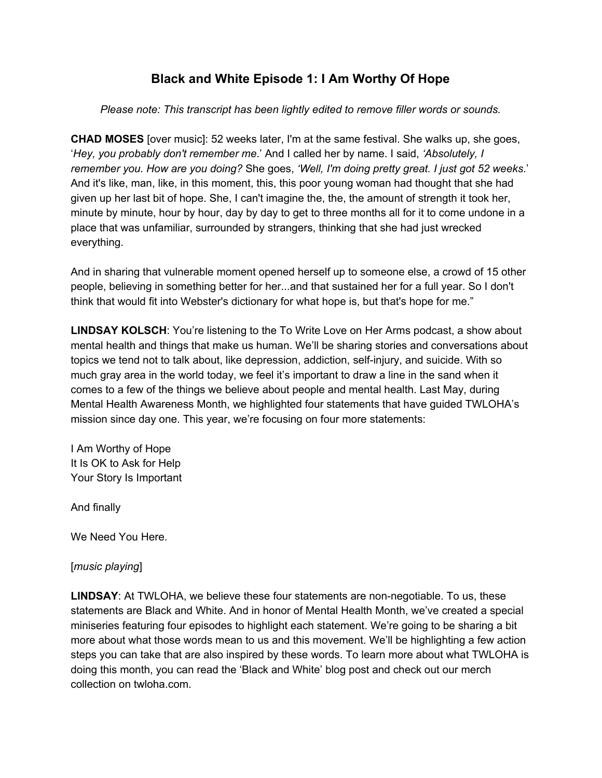# **Black and White Episode 1: I Am Worthy Of Hope**

*Please note: This transcript has been lightly edited to remove filler words or sounds.*

**CHAD MOSES** [over music]: 52 weeks later, I'm at the same festival. She walks up, she goes, '*Hey, you probably don't remember me*.' And I called her by name. I said, *'Absolutely, I remember you. How are you doing?* She goes, *'Well, I'm doing pretty great. I just got 52 weeks*.' And it's like, man, like, in this moment, this, this poor young woman had thought that she had given up her last bit of hope. She, I can't imagine the, the, the amount of strength it took her, minute by minute, hour by hour, day by day to get to three months all for it to come undone in a place that was unfamiliar, surrounded by strangers, thinking that she had just wrecked everything.

And in sharing that vulnerable moment opened herself up to someone else, a crowd of 15 other people, believing in something better for her...and that sustained her for a full year. So I don't think that would fit into Webster's dictionary for what hope is, but that's hope for me."

**LINDSAY KOLSCH**: You're listening to the To Write Love on Her Arms podcast, a show about mental health and things that make us human. We'll be sharing stories and conversations about topics we tend not to talk about, like depression, addiction, self-injury, and suicide. With so much gray area in the world today, we feel it's important to draw a line in the sand when it comes to a few of the things we believe about people and mental health. Last May, during Mental Health Awareness Month, we highlighted four statements that have guided TWLOHA's mission since day one. This year, we're focusing on four more statements:

I Am Worthy of Hope It Is OK to Ask for Help Your Story Is Important

And finally

We Need You Here.

[*music playing*]

**LINDSAY**: At TWLOHA, we believe these four statements are non-negotiable. To us, these statements are Black and White. And in honor of Mental Health Month, we've created a special miniseries featuring four episodes to highlight each statement. We're going to be sharing a bit more about what those words mean to us and this movement. We'll be highlighting a few action steps you can take that are also inspired by these words. To learn more about what TWLOHA is doing this month, you can read the 'Black and White' blog post and check out our merch collection on twloha.com.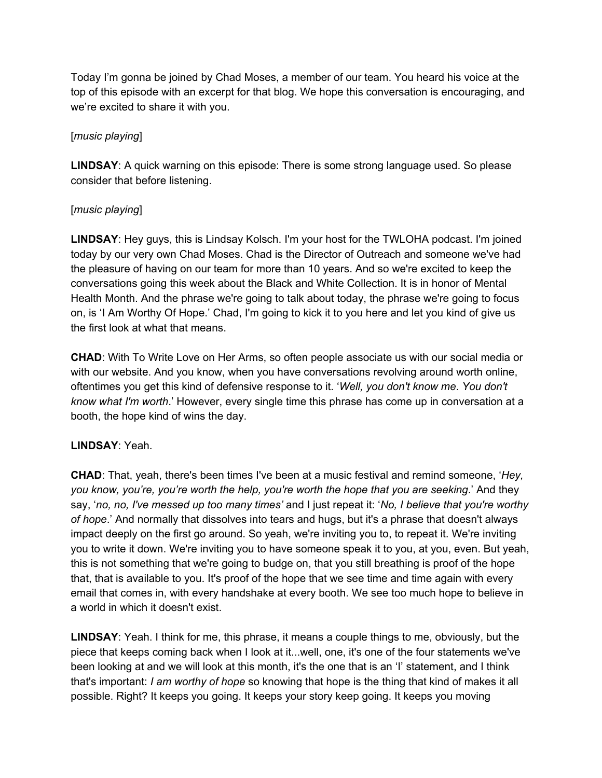Today I'm gonna be joined by Chad Moses, a member of our team. You heard his voice at the top of this episode with an excerpt for that blog. We hope this conversation is encouraging, and we're excited to share it with you.

### [*music playing*]

**LINDSAY**: A quick warning on this episode: There is some strong language used. So please consider that before listening.

### [*music playing*]

**LINDSAY**: Hey guys, this is Lindsay Kolsch. I'm your host for the TWLOHA podcast. I'm joined today by our very own Chad Moses. Chad is the Director of Outreach and someone we've had the pleasure of having on our team for more than 10 years. And so we're excited to keep the conversations going this week about the Black and White Collection. It is in honor of Mental Health Month. And the phrase we're going to talk about today, the phrase we're going to focus on, is 'I Am Worthy Of Hope.' Chad, I'm going to kick it to you here and let you kind of give us the first look at what that means.

**CHAD**: With To Write Love on Her Arms, so often people associate us with our social media or with our website. And you know, when you have conversations revolving around worth online, oftentimes you get this kind of defensive response to it. '*Well, you don't know me*. *You don't know what I'm worth*.' However, every single time this phrase has come up in conversation at a booth, the hope kind of wins the day.

# **LINDSAY**: Yeah.

**CHAD**: That, yeah, there's been times I've been at a music festival and remind someone, '*Hey, you know, you're, you're worth the help, you're worth the hope that you are seeking*.' And they say, '*no, no, I've messed up too many times'* and I just repeat it: '*No, I believe that you're worthy of hope*.' And normally that dissolves into tears and hugs, but it's a phrase that doesn't always impact deeply on the first go around. So yeah, we're inviting you to, to repeat it. We're inviting you to write it down. We're inviting you to have someone speak it to you, at you, even. But yeah, this is not something that we're going to budge on, that you still breathing is proof of the hope that, that is available to you. It's proof of the hope that we see time and time again with every email that comes in, with every handshake at every booth. We see too much hope to believe in a world in which it doesn't exist.

**LINDSAY**: Yeah. I think for me, this phrase, it means a couple things to me, obviously, but the piece that keeps coming back when I look at it...well, one, it's one of the four statements we've been looking at and we will look at this month, it's the one that is an 'I' statement, and I think that's important: *I am worthy of hope* so knowing that hope is the thing that kind of makes it all possible. Right? It keeps you going. It keeps your story keep going. It keeps you moving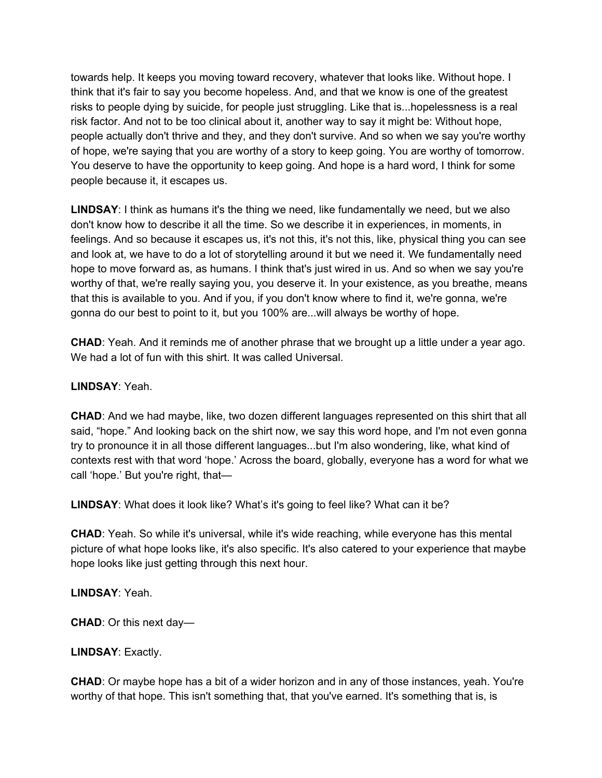towards help. It keeps you moving toward recovery, whatever that looks like. Without hope. I think that it's fair to say you become hopeless. And, and that we know is one of the greatest risks to people dying by suicide, for people just struggling. Like that is...hopelessness is a real risk factor. And not to be too clinical about it, another way to say it might be: Without hope, people actually don't thrive and they, and they don't survive. And so when we say you're worthy of hope, we're saying that you are worthy of a story to keep going. You are worthy of tomorrow. You deserve to have the opportunity to keep going. And hope is a hard word, I think for some people because it, it escapes us.

**LINDSAY**: I think as humans it's the thing we need, like fundamentally we need, but we also don't know how to describe it all the time. So we describe it in experiences, in moments, in feelings. And so because it escapes us, it's not this, it's not this, like, physical thing you can see and look at, we have to do a lot of storytelling around it but we need it. We fundamentally need hope to move forward as, as humans. I think that's just wired in us. And so when we say you're worthy of that, we're really saying you, you deserve it. In your existence, as you breathe, means that this is available to you. And if you, if you don't know where to find it, we're gonna, we're gonna do our best to point to it, but you 100% are...will always be worthy of hope.

**CHAD**: Yeah. And it reminds me of another phrase that we brought up a little under a year ago. We had a lot of fun with this shirt. It was called Universal.

### **LINDSAY**: Yeah.

**CHAD**: And we had maybe, like, two dozen different languages represented on this shirt that all said, "hope." And looking back on the shirt now, we say this word hope, and I'm not even gonna try to pronounce it in all those different languages...but I'm also wondering, like, what kind of contexts rest with that word 'hope.' Across the board, globally, everyone has a word for what we call 'hope.' But you're right, that—

**LINDSAY**: What does it look like? What's it's going to feel like? What can it be?

**CHAD**: Yeah. So while it's universal, while it's wide reaching, while everyone has this mental picture of what hope looks like, it's also specific. It's also catered to your experience that maybe hope looks like just getting through this next hour.

### **LINDSAY**: Yeah.

**CHAD**: Or this next day—

# **LINDSAY**: Exactly.

**CHAD**: Or maybe hope has a bit of a wider horizon and in any of those instances, yeah. You're worthy of that hope. This isn't something that, that you've earned. It's something that is, is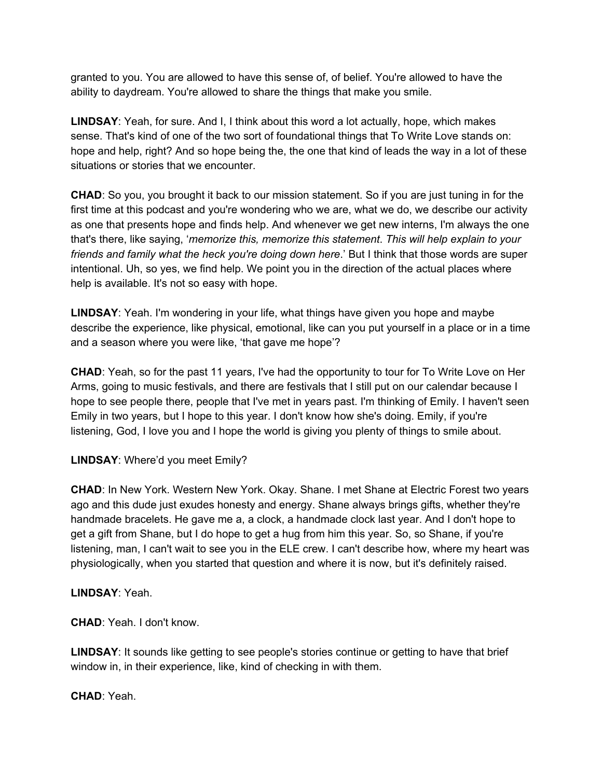granted to you. You are allowed to have this sense of, of belief. You're allowed to have the ability to daydream. You're allowed to share the things that make you smile.

**LINDSAY**: Yeah, for sure. And I, I think about this word a lot actually, hope, which makes sense. That's kind of one of the two sort of foundational things that To Write Love stands on: hope and help, right? And so hope being the, the one that kind of leads the way in a lot of these situations or stories that we encounter.

**CHAD**: So you, you brought it back to our mission statement. So if you are just tuning in for the first time at this podcast and you're wondering who we are, what we do, we describe our activity as one that presents hope and finds help. And whenever we get new interns, I'm always the one that's there, like saying, '*memorize this, memorize this statement*. *This will help explain to your friends and family what the heck you're doing down here*.' But I think that those words are super intentional. Uh, so yes, we find help. We point you in the direction of the actual places where help is available. It's not so easy with hope.

**LINDSAY**: Yeah. I'm wondering in your life, what things have given you hope and maybe describe the experience, like physical, emotional, like can you put yourself in a place or in a time and a season where you were like, 'that gave me hope'?

**CHAD**: Yeah, so for the past 11 years, I've had the opportunity to tour for To Write Love on Her Arms, going to music festivals, and there are festivals that I still put on our calendar because I hope to see people there, people that I've met in years past. I'm thinking of Emily. I haven't seen Emily in two years, but I hope to this year. I don't know how she's doing. Emily, if you're listening, God, I love you and I hope the world is giving you plenty of things to smile about.

# **LINDSAY**: Where'd you meet Emily?

**CHAD**: In New York. Western New York. Okay. Shane. I met Shane at Electric Forest two years ago and this dude just exudes honesty and energy. Shane always brings gifts, whether they're handmade bracelets. He gave me a, a clock, a handmade clock last year. And I don't hope to get a gift from Shane, but I do hope to get a hug from him this year. So, so Shane, if you're listening, man, I can't wait to see you in the ELE crew. I can't describe how, where my heart was physiologically, when you started that question and where it is now, but it's definitely raised.

### **LINDSAY**: Yeah.

**CHAD**: Yeah. I don't know.

**LINDSAY**: It sounds like getting to see people's stories continue or getting to have that brief window in, in their experience, like, kind of checking in with them.

**CHAD**: Yeah.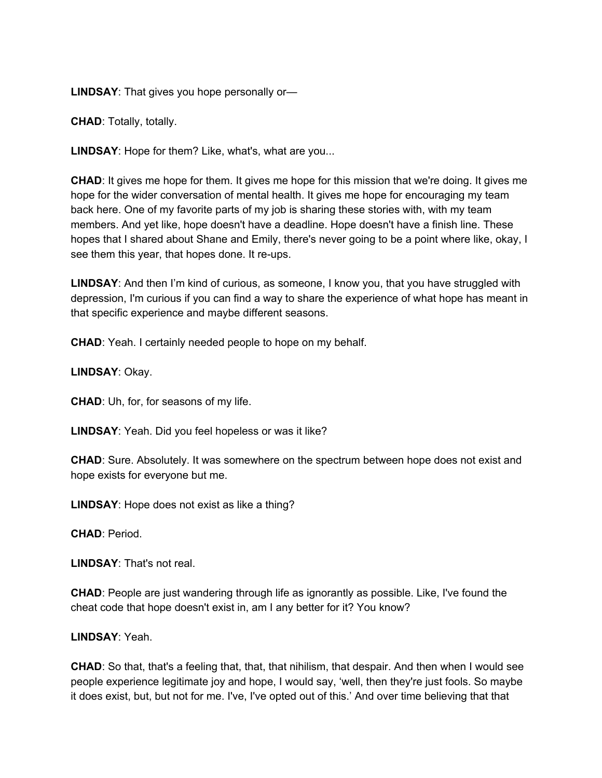**LINDSAY**: That gives you hope personally or—

**CHAD**: Totally, totally.

**LINDSAY**: Hope for them? Like, what's, what are you...

**CHAD**: It gives me hope for them. It gives me hope for this mission that we're doing. It gives me hope for the wider conversation of mental health. It gives me hope for encouraging my team back here. One of my favorite parts of my job is sharing these stories with, with my team members. And yet like, hope doesn't have a deadline. Hope doesn't have a finish line. These hopes that I shared about Shane and Emily, there's never going to be a point where like, okay, I see them this year, that hopes done. It re-ups.

**LINDSAY**: And then I'm kind of curious, as someone, I know you, that you have struggled with depression, I'm curious if you can find a way to share the experience of what hope has meant in that specific experience and maybe different seasons.

**CHAD**: Yeah. I certainly needed people to hope on my behalf.

**LINDSAY**: Okay.

**CHAD**: Uh, for, for seasons of my life.

**LINDSAY**: Yeah. Did you feel hopeless or was it like?

**CHAD**: Sure. Absolutely. It was somewhere on the spectrum between hope does not exist and hope exists for everyone but me.

**LINDSAY**: Hope does not exist as like a thing?

**CHAD**: Period.

**LINDSAY**: That's not real.

**CHAD**: People are just wandering through life as ignorantly as possible. Like, I've found the cheat code that hope doesn't exist in, am I any better for it? You know?

#### **LINDSAY**: Yeah.

**CHAD**: So that, that's a feeling that, that, that nihilism, that despair. And then when I would see people experience legitimate joy and hope, I would say, 'well, then they're just fools. So maybe it does exist, but, but not for me. I've, I've opted out of this.' And over time believing that that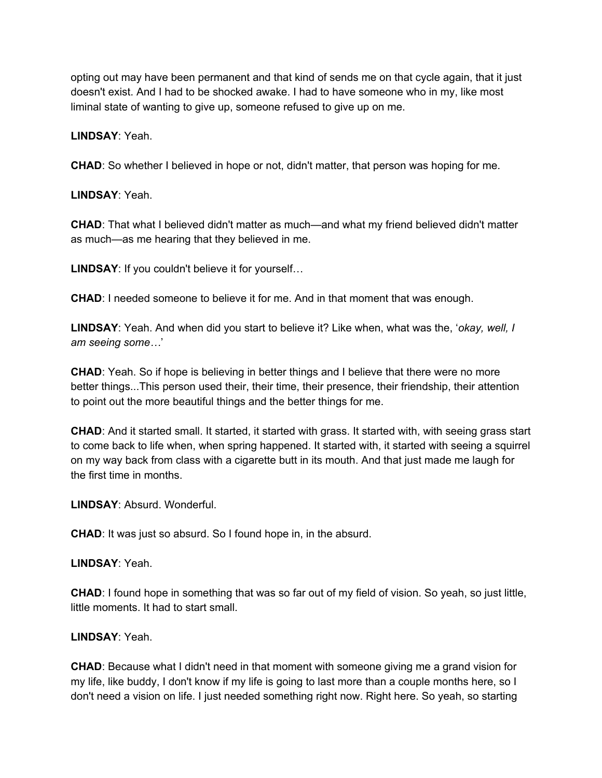opting out may have been permanent and that kind of sends me on that cycle again, that it just doesn't exist. And I had to be shocked awake. I had to have someone who in my, like most liminal state of wanting to give up, someone refused to give up on me.

**LINDSAY**: Yeah.

**CHAD**: So whether I believed in hope or not, didn't matter, that person was hoping for me.

**LINDSAY**: Yeah.

**CHAD**: That what I believed didn't matter as much—and what my friend believed didn't matter as much—as me hearing that they believed in me.

**LINDSAY**: If you couldn't believe it for yourself…

**CHAD**: I needed someone to believe it for me. And in that moment that was enough.

**LINDSAY**: Yeah. And when did you start to believe it? Like when, what was the, '*okay, well, I am seeing some…*'

**CHAD**: Yeah. So if hope is believing in better things and I believe that there were no more better things...This person used their, their time, their presence, their friendship, their attention to point out the more beautiful things and the better things for me.

**CHAD**: And it started small. It started, it started with grass. It started with, with seeing grass start to come back to life when, when spring happened. It started with, it started with seeing a squirrel on my way back from class with a cigarette butt in its mouth. And that just made me laugh for the first time in months.

**LINDSAY**: Absurd. Wonderful.

**CHAD**: It was just so absurd. So I found hope in, in the absurd.

**LINDSAY**: Yeah.

**CHAD**: I found hope in something that was so far out of my field of vision. So yeah, so just little, little moments. It had to start small.

### **LINDSAY**: Yeah.

**CHAD**: Because what I didn't need in that moment with someone giving me a grand vision for my life, like buddy, I don't know if my life is going to last more than a couple months here, so I don't need a vision on life. I just needed something right now. Right here. So yeah, so starting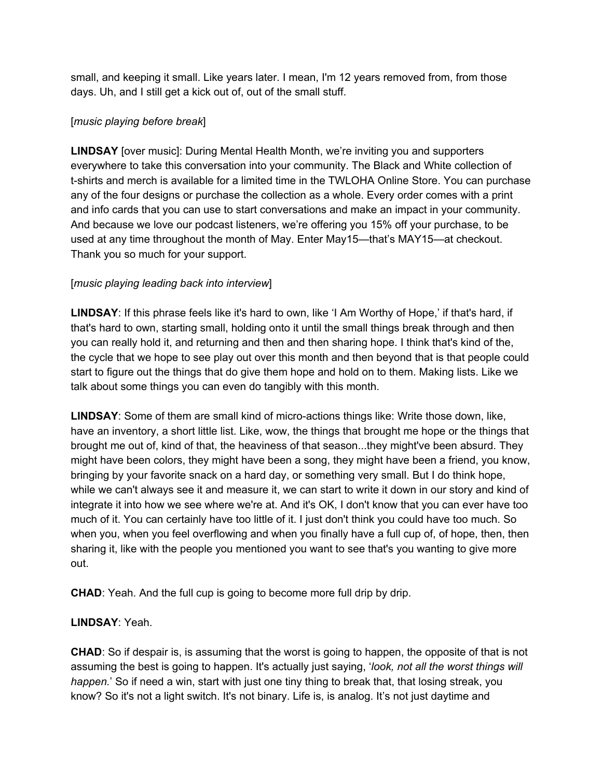small, and keeping it small. Like years later. I mean, I'm 12 years removed from, from those days. Uh, and I still get a kick out of, out of the small stuff.

# [*music playing before break*]

**LINDSAY** [over music]: During Mental Health Month, we're inviting you and supporters everywhere to take this conversation into your community. The Black and White collection of t-shirts and merch is available for a limited time in the TWLOHA Online Store. You can purchase any of the four designs or purchase the collection as a whole. Every order comes with a print and info cards that you can use to start conversations and make an impact in your community. And because we love our podcast listeners, we're offering you 15% off your purchase, to be used at any time throughout the month of May. Enter May15—that's MAY15—at checkout. Thank you so much for your support.

# [*music playing leading back into interview*]

**LINDSAY**: If this phrase feels like it's hard to own, like 'I Am Worthy of Hope,' if that's hard, if that's hard to own, starting small, holding onto it until the small things break through and then you can really hold it, and returning and then and then sharing hope. I think that's kind of the, the cycle that we hope to see play out over this month and then beyond that is that people could start to figure out the things that do give them hope and hold on to them. Making lists. Like we talk about some things you can even do tangibly with this month.

**LINDSAY**: Some of them are small kind of micro-actions things like: Write those down, like, have an inventory, a short little list. Like, wow, the things that brought me hope or the things that brought me out of, kind of that, the heaviness of that season...they might've been absurd. They might have been colors, they might have been a song, they might have been a friend, you know, bringing by your favorite snack on a hard day, or something very small. But I do think hope, while we can't always see it and measure it, we can start to write it down in our story and kind of integrate it into how we see where we're at. And it's OK, I don't know that you can ever have too much of it. You can certainly have too little of it. I just don't think you could have too much. So when you, when you feel overflowing and when you finally have a full cup of, of hope, then, then sharing it, like with the people you mentioned you want to see that's you wanting to give more out.

**CHAD**: Yeah. And the full cup is going to become more full drip by drip.

# **LINDSAY**: Yeah.

**CHAD**: So if despair is, is assuming that the worst is going to happen, the opposite of that is not assuming the best is going to happen. It's actually just saying, '*look, not all the worst things will happen.*' So if need a win, start with just one tiny thing to break that, that losing streak, you know? So it's not a light switch. It's not binary. Life is, is analog. It's not just daytime and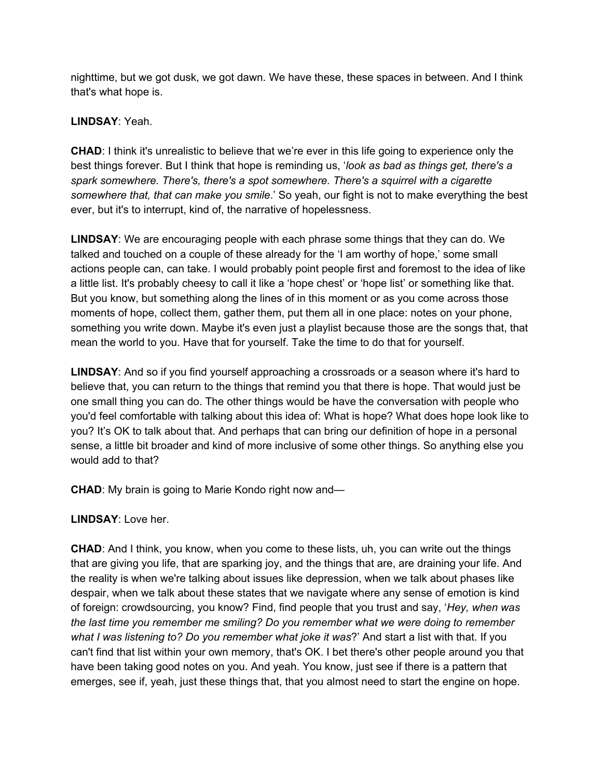nighttime, but we got dusk, we got dawn. We have these, these spaces in between. And I think that's what hope is.

### **LINDSAY**: Yeah.

**CHAD**: I think it's unrealistic to believe that we're ever in this life going to experience only the best things forever. But I think that hope is reminding us, '*look as bad as things get, there's a spark somewhere. There's, there's a spot somewhere. There's a squirrel with a cigarette somewhere that, that can make you smile*.' So yeah, our fight is not to make everything the best ever, but it's to interrupt, kind of, the narrative of hopelessness.

**LINDSAY**: We are encouraging people with each phrase some things that they can do. We talked and touched on a couple of these already for the 'I am worthy of hope,' some small actions people can, can take. I would probably point people first and foremost to the idea of like a little list. It's probably cheesy to call it like a 'hope chest' or 'hope list' or something like that. But you know, but something along the lines of in this moment or as you come across those moments of hope, collect them, gather them, put them all in one place: notes on your phone, something you write down. Maybe it's even just a playlist because those are the songs that, that mean the world to you. Have that for yourself. Take the time to do that for yourself.

**LINDSAY**: And so if you find yourself approaching a crossroads or a season where it's hard to believe that, you can return to the things that remind you that there is hope. That would just be one small thing you can do. The other things would be have the conversation with people who you'd feel comfortable with talking about this idea of: What is hope? What does hope look like to you? It's OK to talk about that. And perhaps that can bring our definition of hope in a personal sense, a little bit broader and kind of more inclusive of some other things. So anything else you would add to that?

**CHAD**: My brain is going to Marie Kondo right now and—

**LINDSAY**: Love her.

**CHAD**: And I think, you know, when you come to these lists, uh, you can write out the things that are giving you life, that are sparking joy, and the things that are, are draining your life. And the reality is when we're talking about issues like depression, when we talk about phases like despair, when we talk about these states that we navigate where any sense of emotion is kind of foreign: crowdsourcing, you know? Find, find people that you trust and say, '*Hey, when was the last time you remember me smiling? Do you remember what we were doing to remember what I was listening to? Do you remember what joke it was*?' And start a list with that. If you can't find that list within your own memory, that's OK. I bet there's other people around you that have been taking good notes on you. And yeah. You know, just see if there is a pattern that emerges, see if, yeah, just these things that, that you almost need to start the engine on hope.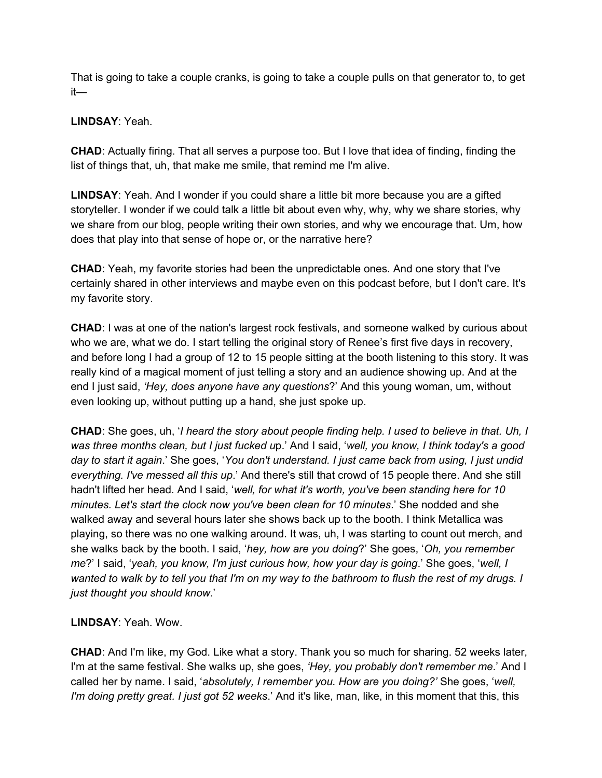That is going to take a couple cranks, is going to take a couple pulls on that generator to, to get it—

### **LINDSAY**: Yeah.

**CHAD**: Actually firing. That all serves a purpose too. But I love that idea of finding, finding the list of things that, uh, that make me smile, that remind me I'm alive.

**LINDSAY**: Yeah. And I wonder if you could share a little bit more because you are a gifted storyteller. I wonder if we could talk a little bit about even why, why, why we share stories, why we share from our blog, people writing their own stories, and why we encourage that. Um, how does that play into that sense of hope or, or the narrative here?

**CHAD**: Yeah, my favorite stories had been the unpredictable ones. And one story that I've certainly shared in other interviews and maybe even on this podcast before, but I don't care. It's my favorite story.

**CHAD**: I was at one of the nation's largest rock festivals, and someone walked by curious about who we are, what we do. I start telling the original story of Renee's first five days in recovery, and before long I had a group of 12 to 15 people sitting at the booth listening to this story. It was really kind of a magical moment of just telling a story and an audience showing up. And at the end I just said, *'Hey, does anyone have any questions*?' And this young woman, um, without even looking up, without putting up a hand, she just spoke up.

**CHAD**: She goes, uh, '*I heard the story about people finding help. I used to believe in that. Uh, I was three months clean, but I just fucked u*p.' And I said, '*well, you know, I think today's a good day to start it again*.' She goes, '*You don't understand. I just came back from using, I just undid everything. I've messed all this up*.' And there's still that crowd of 15 people there. And she still hadn't lifted her head. And I said, '*well, for what it's worth, you've been standing here for 10 minutes. Let's start the clock now you've been clean for 10 minutes*.' She nodded and she walked away and several hours later she shows back up to the booth. I think Metallica was playing, so there was no one walking around. It was, uh, I was starting to count out merch, and she walks back by the booth. I said, '*hey, how are you doing*?' She goes, '*Oh, you remember me*?' I said, '*yeah, you know, I'm just curious how, how your day is going*.' She goes, '*well, I* wanted to walk by to tell you that I'm on my way to the bathroom to flush the rest of my drugs. I *just thought you should know*.'

### **LINDSAY**: Yeah. Wow.

**CHAD**: And I'm like, my God. Like what a story. Thank you so much for sharing. 52 weeks later, I'm at the same festival. She walks up, she goes, *'Hey, you probably don't remember me*.' And I called her by name. I said, '*absolutely, I remember you. How are you doing?'* She goes, '*well, I'm doing pretty great. I just got 52 weeks*.' And it's like, man, like, in this moment that this, this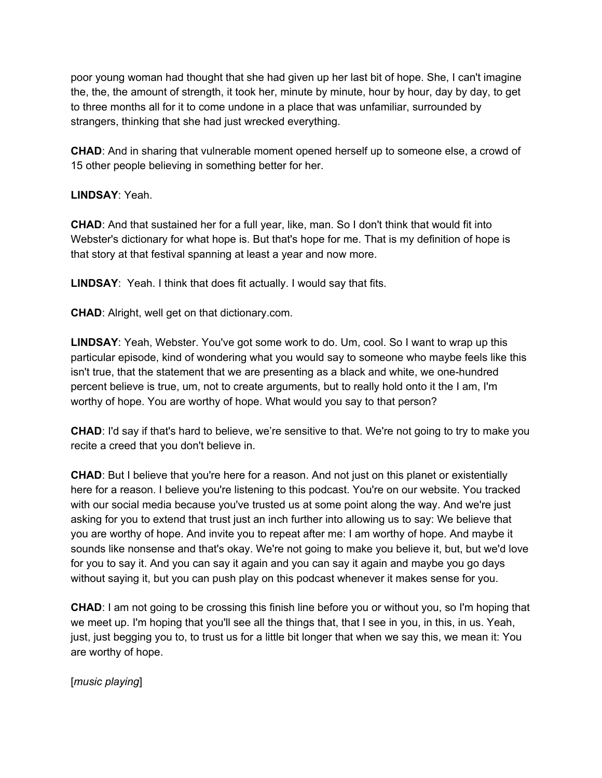poor young woman had thought that she had given up her last bit of hope. She, I can't imagine the, the, the amount of strength, it took her, minute by minute, hour by hour, day by day, to get to three months all for it to come undone in a place that was unfamiliar, surrounded by strangers, thinking that she had just wrecked everything.

**CHAD**: And in sharing that vulnerable moment opened herself up to someone else, a crowd of 15 other people believing in something better for her.

**LINDSAY**: Yeah.

**CHAD**: And that sustained her for a full year, like, man. So I don't think that would fit into Webster's dictionary for what hope is. But that's hope for me. That is my definition of hope is that story at that festival spanning at least a year and now more.

**LINDSAY**: Yeah. I think that does fit actually. I would say that fits.

**CHAD**: Alright, well get on that dictionary.com.

**LINDSAY**: Yeah, Webster. You've got some work to do. Um, cool. So I want to wrap up this particular episode, kind of wondering what you would say to someone who maybe feels like this isn't true, that the statement that we are presenting as a black and white, we one-hundred percent believe is true, um, not to create arguments, but to really hold onto it the I am, I'm worthy of hope. You are worthy of hope. What would you say to that person?

**CHAD**: I'd say if that's hard to believe, we're sensitive to that. We're not going to try to make you recite a creed that you don't believe in.

**CHAD**: But I believe that you're here for a reason. And not just on this planet or existentially here for a reason. I believe you're listening to this podcast. You're on our website. You tracked with our social media because you've trusted us at some point along the way. And we're just asking for you to extend that trust just an inch further into allowing us to say: We believe that you are worthy of hope. And invite you to repeat after me: I am worthy of hope. And maybe it sounds like nonsense and that's okay. We're not going to make you believe it, but, but we'd love for you to say it. And you can say it again and you can say it again and maybe you go days without saying it, but you can push play on this podcast whenever it makes sense for you.

**CHAD**: I am not going to be crossing this finish line before you or without you, so I'm hoping that we meet up. I'm hoping that you'll see all the things that, that I see in you, in this, in us. Yeah, just, just begging you to, to trust us for a little bit longer that when we say this, we mean it: You are worthy of hope.

[*music playing*]